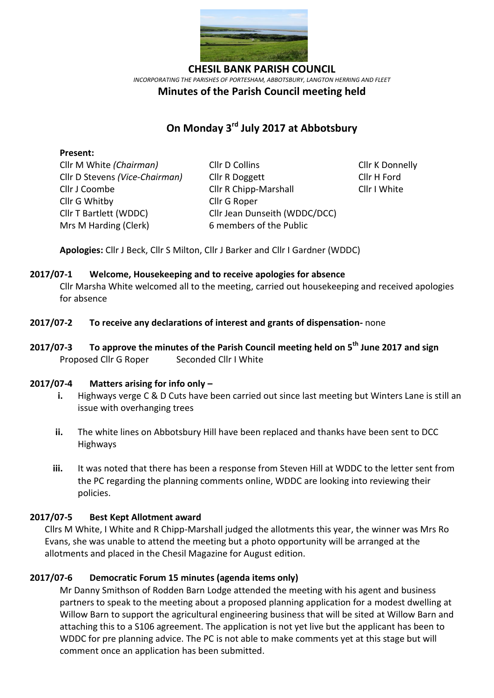

*INCORPORATING THE PARISHES OF PORTESHAM, ABBOTSBURY, LANGTON HERRING AND FLEET*

## **Minutes of the Parish Council meeting held**

# **On Monday 3 rd July 2017 at Abbotsbury**

## **Present:**

Cllr G Whitby Cllr G Roper Mrs M Harding (Clerk)6 members of the Public

Cllr M White *(Chairman)* Cllr D Collins Cllr K Donnelly Cllr D Stevens *(Vice-Chairman)* Cllr R Doggett Cllr H Ford Cllr J Coombe Cllr R Chipp-Marshall Cllr I White Cllr T Bartlett (WDDC) Cllr Jean Dunseith (WDDC/DCC)

**Apologies:** Cllr J Beck, Cllr S Milton, Cllr J Barker and Cllr I Gardner (WDDC)

## **2017/07-1 Welcome, Housekeeping and to receive apologies for absence**

Cllr Marsha White welcomed all to the meeting, carried out housekeeping and received apologies for absence

- **2017/07-2 To receive any declarations of interest and grants of dispensation-** none
- **2017/07-3 To approve the minutes of the Parish Council meeting held on 5 th June 2017 and sign**  Proposed Cllr G Roper Seconded Cllr I White

#### **2017/07-4 Matters arising for info only –**

- **i.** Highways verge C & D Cuts have been carried out since last meeting but Winters Lane is still an issue with overhanging trees
- **ii.** The white lines on Abbotsbury Hill have been replaced and thanks have been sent to DCC Highways
- **iii.** It was noted that there has been a response from Steven Hill at WDDC to the letter sent from the PC regarding the planning comments online, WDDC are looking into reviewing their policies.

## **2017/07-5 Best Kept Allotment award**

Cllrs M White, I White and R Chipp-Marshall judged the allotments this year, the winner was Mrs Ro Evans, she was unable to attend the meeting but a photo opportunity will be arranged at the allotments and placed in the Chesil Magazine for August edition.

## **2017/07-6 Democratic Forum 15 minutes (agenda items only)**

Mr Danny Smithson of Rodden Barn Lodge attended the meeting with his agent and business partners to speak to the meeting about a proposed planning application for a modest dwelling at Willow Barn to support the agricultural engineering business that will be sited at Willow Barn and attaching this to a S106 agreement. The application is not yet live but the applicant has been to WDDC for pre planning advice. The PC is not able to make comments yet at this stage but will comment once an application has been submitted.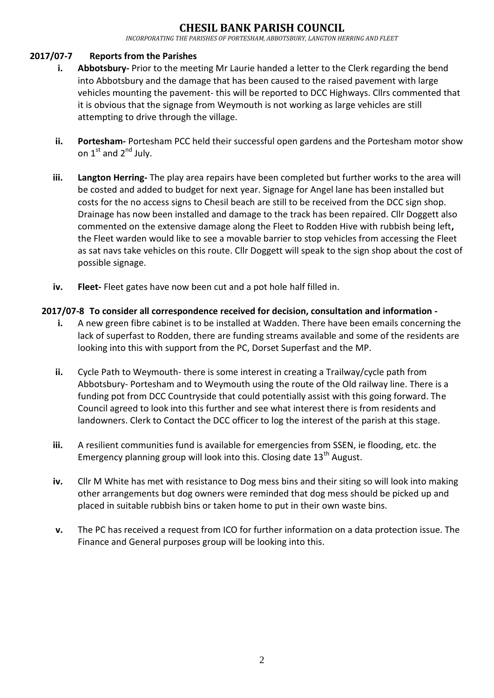## **GIL BANK PARISH COUNC**

*INCORPORATING THE PARISHES OF PORTESHAM, ABBOTSBURY, LANGTON HERRING AND FLEET*

## **2017/07-7 Reports from the Parishes**

- **i. Abbotsbury-** Prior to the meeting Mr Laurie handed a letter to the Clerk regarding the bend into Abbotsbury and the damage that has been caused to the raised pavement with large vehicles mounting the pavement- this will be reported to DCC Highways. Cllrs commented that it is obvious that the signage from Weymouth is not working as large vehicles are still attempting to drive through the village.
- **ii. Portesham-** Portesham PCC held their successful open gardens and the Portesham motor show on  $1^{st}$  and  $2^{nd}$  July.
- **iii. Langton Herring-** The play area repairs have been completed but further works to the area will be costed and added to budget for next year. Signage for Angel lane has been installed but costs for the no access signs to Chesil beach are still to be received from the DCC sign shop. Drainage has now been installed and damage to the track has been repaired. Cllr Doggett also commented on the extensive damage along the Fleet to Rodden Hive with rubbish being left**,**  the Fleet warden would like to see a movable barrier to stop vehicles from accessing the Fleet as sat navs take vehicles on this route. Cllr Doggett will speak to the sign shop about the cost of possible signage.
- **iv. Fleet-** Fleet gates have now been cut and a pot hole half filled in.

## **2017/07-8 To consider all correspondence received for decision, consultation and information -**

- **i.** A new green fibre cabinet is to be installed at Wadden. There have been emails concerning the lack of superfast to Rodden, there are funding streams available and some of the residents are looking into this with support from the PC, Dorset Superfast and the MP.
- **ii.** Cycle Path to Weymouth- there is some interest in creating a Trailway/cycle path from Abbotsbury- Portesham and to Weymouth using the route of the Old railway line. There is a funding pot from DCC Countryside that could potentially assist with this going forward. The Council agreed to look into this further and see what interest there is from residents and landowners. Clerk to Contact the DCC officer to log the interest of the parish at this stage.
- **iii.** A resilient communities fund is available for emergencies from SSEN, ie flooding, etc. the Emergency planning group will look into this. Closing date  $13<sup>th</sup>$  August.
- **iv.** Cllr M White has met with resistance to Dog mess bins and their siting so will look into making other arrangements but dog owners were reminded that dog mess should be picked up and placed in suitable rubbish bins or taken home to put in their own waste bins.
- **v.** The PC has received a request from ICO for further information on a data protection issue. The Finance and General purposes group will be looking into this.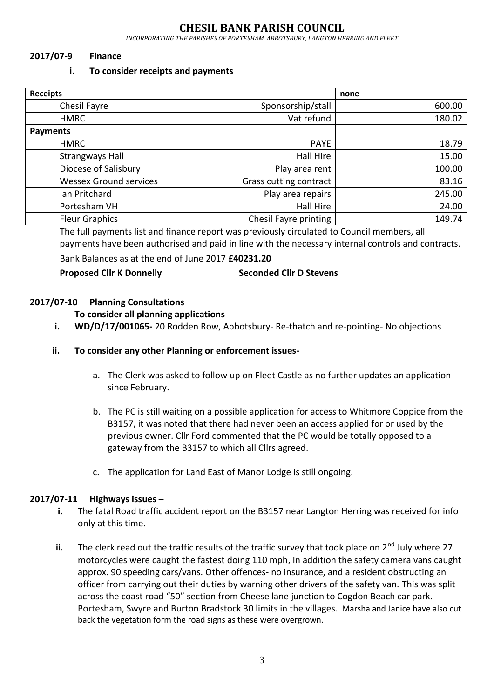## **CHESIL BANK PARISH COUNCIL**

*INCORPORATING THE PARISHES OF PORTESHAM, ABBOTSBURY, LANGTON HERRING AND FLEET*

## **2017/07-9 Finance**

#### **i. To consider receipts and payments**

| <b>Receipts</b>               |                        | none   |
|-------------------------------|------------------------|--------|
| Chesil Fayre                  | Sponsorship/stall      | 600.00 |
| <b>HMRC</b>                   | Vat refund             | 180.02 |
| <b>Payments</b>               |                        |        |
| <b>HMRC</b>                   | <b>PAYE</b>            | 18.79  |
| <b>Strangways Hall</b>        | Hall Hire              | 15.00  |
| Diocese of Salisbury          | Play area rent         | 100.00 |
| <b>Wessex Ground services</b> | Grass cutting contract | 83.16  |
| Ian Pritchard                 | Play area repairs      | 245.00 |
| Portesham VH                  | Hall Hire              | 24.00  |
| <b>Fleur Graphics</b>         | Chesil Fayre printing  | 149.74 |

The full payments list and finance report was previously circulated to Council members, all payments have been authorised and paid in line with the necessary internal controls and contracts.

Bank Balances as at the end of June 2017 **£40231.20**

## **Proposed Cllr K Donnelly Seconded Cllr D Stevens**

## **2017/07-10 Planning Consultations**

## **To consider all planning applications**

**i. WD/D/17/001065-** 20 Rodden Row, Abbotsbury- Re-thatch and re-pointing- No objections

## **ii. To consider any other Planning or enforcement issues-**

- a. The Clerk was asked to follow up on Fleet Castle as no further updates an application since February.
- b. The PC is still waiting on a possible application for access to Whitmore Coppice from the B3157, it was noted that there had never been an access applied for or used by the previous owner. Cllr Ford commented that the PC would be totally opposed to a gateway from the B3157 to which all Cllrs agreed.
- c. The application for Land East of Manor Lodge is still ongoing.

## **2017/07-11 Highways issues –**

- **i.** The fatal Road traffic accident report on the B3157 near Langton Herring was received for info only at this time.
- **ii.** The clerk read out the traffic results of the traffic survey that took place on  $2^{nd}$  July where 27 motorcycles were caught the fastest doing 110 mph, In addition the safety camera vans caught approx. 90 speeding cars/vans. Other offences- no insurance, and a resident obstructing an officer from carrying out their duties by warning other drivers of the safety van. This was split across the coast road "50" section from Cheese lane junction to Cogdon Beach car park. Portesham, Swyre and Burton Bradstock 30 limits in the villages. Marsha and Janice have also cut back the vegetation form the road signs as these were overgrown.